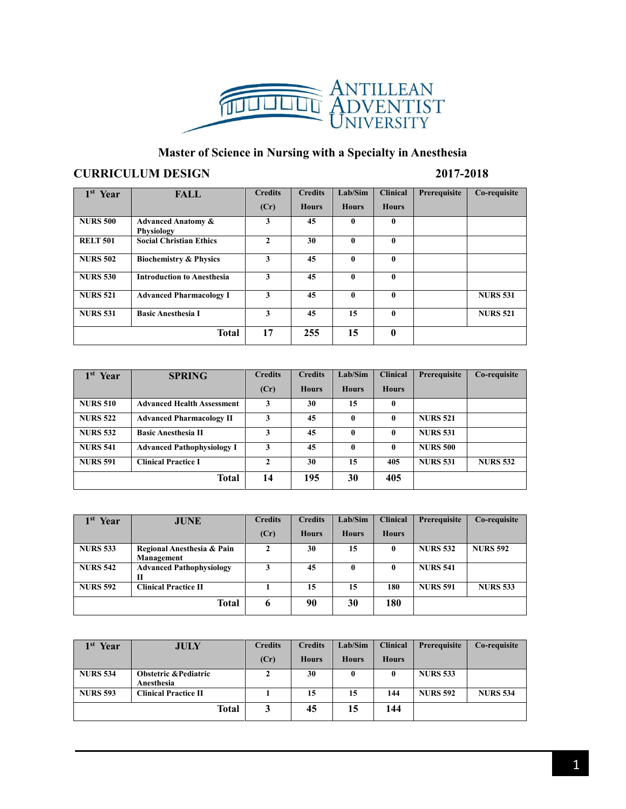

## **Master of Science in Nursing with a Specialty in Anesthesia**

## **CURRICULUM DESIGN 2017-2018**

| 1 <sup>st</sup> Year | <b>FALL</b>                                        | <b>Credits</b> | <b>Credits</b> | Lab/Sim      | <b>Clinical</b> | Prerequisite | Co-requisite    |
|----------------------|----------------------------------------------------|----------------|----------------|--------------|-----------------|--------------|-----------------|
|                      |                                                    | (Cr)           | <b>Hours</b>   | <b>Hours</b> | <b>Hours</b>    |              |                 |
| <b>NURS 500</b>      | <b>Advanced Anatomy &amp;</b><br><b>Physiology</b> | 3              | 45             | $\mathbf{0}$ | $\mathbf{0}$    |              |                 |
| <b>RELT 501</b>      | <b>Social Christian Ethics</b>                     | $\mathbf{2}$   | 30             | $\bf{0}$     | $\mathbf{0}$    |              |                 |
| <b>NURS 502</b>      | <b>Biochemistry &amp; Physics</b>                  | 3              | 45             | $\bf{0}$     | $\mathbf{0}$    |              |                 |
| <b>NURS 530</b>      | <b>Introduction to Anesthesia</b>                  | 3              | 45             | $\bf{0}$     | $\mathbf{0}$    |              |                 |
| <b>NURS 521</b>      | <b>Advanced Pharmacology I</b>                     | 3              | 45             | $\bf{0}$     | $\mathbf{0}$    |              | <b>NURS 531</b> |
| <b>NURS 531</b>      | <b>Basic Anesthesia I</b>                          | 3              | 45             | 15           | $\mathbf{0}$    |              | <b>NURS 521</b> |
| <b>Total</b>         |                                                    | 17             | 255            | 15           | $\mathbf{0}$    |              |                 |

| 1 <sup>st</sup><br>Year | <b>SPRING</b>                     | <b>Credits</b> | <b>Credits</b> | Lab/Sim      | <b>Clinical</b> | Prerequisite    | Co-requisite    |
|-------------------------|-----------------------------------|----------------|----------------|--------------|-----------------|-----------------|-----------------|
|                         |                                   | (Cr)           | <b>Hours</b>   | <b>Hours</b> | <b>Hours</b>    |                 |                 |
| <b>NURS 510</b>         | <b>Advanced Health Assessment</b> | 3              | 30             | 15           | 0               |                 |                 |
| <b>NURS 522</b>         | <b>Advanced Pharmacology II</b>   | 3              | 45             | $\mathbf{0}$ | 0               | <b>NURS 521</b> |                 |
| <b>NURS 532</b>         | <b>Basic Anesthesia II</b>        | 3              | 45             | $\mathbf{0}$ | 0               | <b>NURS 531</b> |                 |
| <b>NURS 541</b>         | <b>Advanced Pathophysiology I</b> | 3              | 45             | $\mathbf{0}$ | 0               | <b>NURS 500</b> |                 |
| <b>NURS 591</b>         | <b>Clinical Practice I</b>        | $\mathbf{2}$   | 30             | 15           | 405             | <b>NURS 531</b> | <b>NURS 532</b> |
| <b>Total</b>            |                                   | 14             | 195            | 30           | 405             |                 |                 |

| 1 <sub>st</sub><br>Year | <b>JUNE</b>                              | <b>Credits</b> | <b>Credits</b> | Lab/Sim      | <b>Clinical</b> | Prerequisite    | Co-requisite    |
|-------------------------|------------------------------------------|----------------|----------------|--------------|-----------------|-----------------|-----------------|
|                         |                                          | (Cr)           | <b>Hours</b>   | <b>Hours</b> | <b>Hours</b>    |                 |                 |
| <b>NURS 533</b>         | Regional Anesthesia & Pain<br>Management | 2              | 30             | 15           | 0               | <b>NURS 532</b> | <b>NURS 592</b> |
| <b>NURS 542</b>         | <b>Advanced Pathophysiology</b><br>п     | 3              | 45             | 0            | 0               | <b>NURS 541</b> |                 |
| <b>NURS 592</b>         | <b>Clinical Practice II</b>              |                | 15             | 15           | 180             | <b>NURS 591</b> | <b>NURS 533</b> |
| Total                   |                                          | 6              | 90             | 30           | 180             |                 |                 |

| Year<br>1 <sup>st</sup> | <b>JULY</b>                                    | <b>Credits</b> | <b>Credits</b> | Lab/Sim      | <b>Clinical</b> | <b>Prerequisite</b> | Co-requisite    |
|-------------------------|------------------------------------------------|----------------|----------------|--------------|-----------------|---------------------|-----------------|
|                         |                                                | (Cr)           | <b>Hours</b>   | <b>Hours</b> | <b>Hours</b>    |                     |                 |
| <b>NURS 534</b>         | <b>Obstetric &amp; Pediatric</b><br>Anesthesia | 2              | 30             | 0            | 0               | <b>NURS 533</b>     |                 |
| <b>NURS 593</b>         | <b>Clinical Practice II</b>                    |                | 15             | 15           | 144             | <b>NURS 592</b>     | <b>NURS 534</b> |
| Total                   |                                                |                | 45             | 15           | 144             |                     |                 |